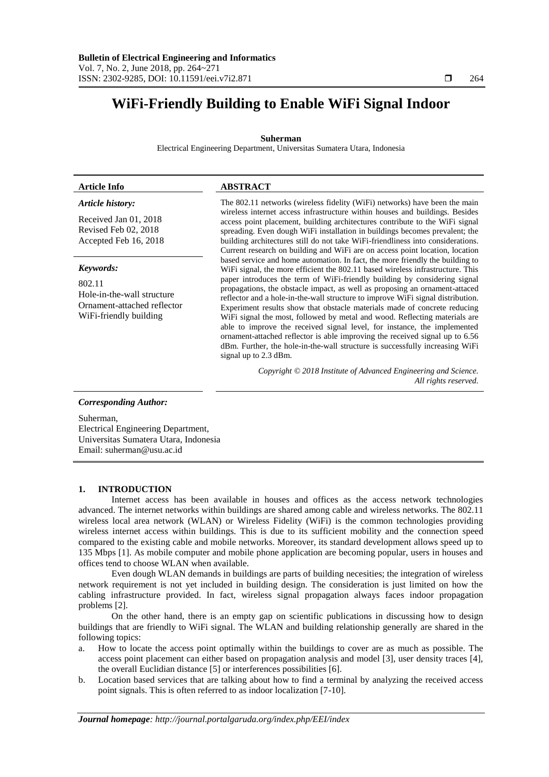# **WiFi-Friendly Building to Enable WiFi Signal Indoor**

# **Suherman**

Electrical Engineering Department, Universitas Sumatera Utara, Indonesia

# **Article Info ABSTRACT**

# *Article history:*

Received Jan 01, 2018 Revised Feb 02, 2018 Accepted Feb 16, 2018

# *Keywords:*

802.11 Hole-in-the-wall structure Ornament-attached reflector WiFi-friendly building

The 802.11 networks (wireless fidelity (WiFi) networks) have been the main wireless internet access infrastructure within houses and buildings. Besides access point placement, building architectures contribute to the WiFi signal spreading. Even dough WiFi installation in buildings becomes prevalent; the building architectures still do not take WiFi-friendliness into considerations. Current research on building and WiFi are on access point location, location based service and home automation. In fact, the more friendly the building to WiFi signal, the more efficient the 802.11 based wireless infrastructure. This paper introduces the term of WiFi-friendly building by considering signal propagations, the obstacle impact, as well as proposing an ornament-attaced reflector and a hole-in-the-wall structure to improve WiFi signal distribution. Experiment results show that obstacle materials made of concrete reducing WiFi signal the most, followed by metal and wood. Reflecting materials are able to improve the received signal level, for instance, the implemented ornament-attached reflector is able improving the received signal up to 6.56 dBm. Further, the hole-in-the-wall structure is successfully increasing WiFi signal up to 2.3 dBm.

> *Copyright © 2018 Institute of Advanced Engineering and Science. All rights reserved.*

# *Corresponding Author:*

Suherman, Electrical Engineering Department, Universitas Sumatera Utara, Indonesia Email: suherman@usu.ac.id

# **1. INTRODUCTION**

Internet access has been available in houses and offices as the access network technologies advanced. The internet networks within buildings are shared among cable and wireless networks. The 802.11 wireless local area network (WLAN) or Wireless Fidelity (WiFi) is the common technologies providing wireless internet access within buildings. This is due to its sufficient mobility and the connection speed compared to the existing cable and mobile networks. Moreover, its standard development allows speed up to 135 Mbps [1]. As mobile computer and mobile phone application are becoming popular, users in houses and offices tend to choose WLAN when available.

Even dough WLAN demands in buildings are parts of building necesities; the integration of wireless network requirement is not yet included in building design. The consideration is just limited on how the cabling infrastructure provided. In fact, wireless signal propagation always faces indoor propagation problems [2].

On the other hand, there is an empty gap on scientific publications in discussing how to design buildings that are friendly to WiFi signal. The WLAN and building relationship generally are shared in the following topics:

- a. How to locate the access point optimally within the buildings to cover are as much as possible. The access point placement can either based on propagation analysis and model [3], user density traces [4], the overall Euclidian distance [5] or interferences possibilities [6].
- b. Location based services that are talking about how to find a terminal by analyzing the received access point signals. This is often referred to as indoor localization [7-10].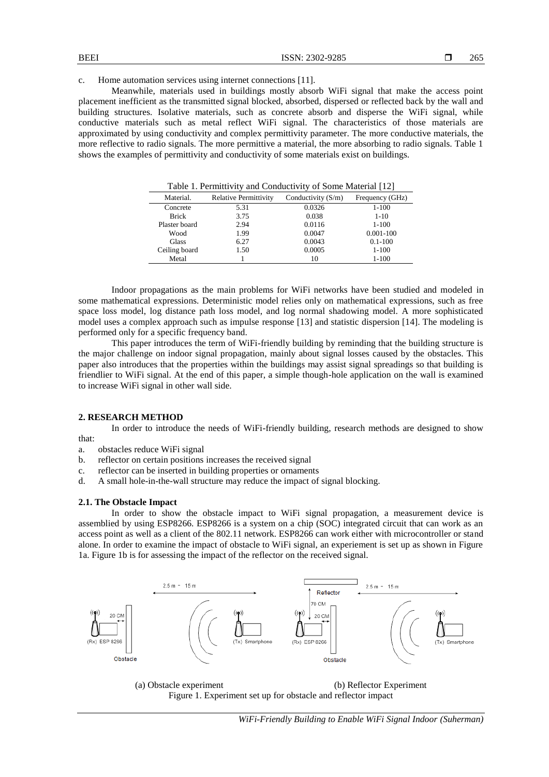#### c. Home automation services using internet connections [11].

Meanwhile, materials used in buildings mostly absorb WiFi signal that make the access point placement inefficient as the transmitted signal blocked, absorbed, dispersed or reflected back by the wall and building structures. Isolative materials, such as concrete absorb and disperse the WiFi signal, while conductive materials such as metal reflect WiFi signal. The characteristics of those materials are approximated by using conductivity and complex permittivity parameter. The more conductive materials, the more reflective to radio signals. The more permittive a material, the more absorbing to radio signals. Table 1 shows the examples of permittivity and conductivity of some materials exist on buildings.

| Table 1. Permittivity and Conductivity of Some Material [12] |                              |                      |                 |
|--------------------------------------------------------------|------------------------------|----------------------|-----------------|
| Material.                                                    | <b>Relative Permittivity</b> | Conductivity $(S/m)$ | Frequency (GHz) |
| Concrete                                                     | 5.31                         | 0.0326               | $1 - 100$       |
| <b>Brick</b>                                                 | 3.75                         | 0.038                | $1 - 10$        |
| Plaster board                                                | 2.94                         | 0.0116               | $1 - 100$       |
| Wood                                                         | 1.99                         | 0.0047               | $0.001 - 100$   |
| Glass                                                        | 6.27                         | 0.0043               | $0.1 - 100$     |
| Ceiling board                                                | 1.50                         | 0.0005               | $1 - 100$       |
| Metal                                                        |                              | 10                   | $1 - 100$       |

Indoor propagations as the main problems for WiFi networks have been studied and modeled in some mathematical expressions. Deterministic model relies only on mathematical expressions, such as free space loss model, log distance path loss model, and log normal shadowing model. A more sophisticated model uses a complex approach such as impulse response [13] and statistic dispersion [14]. The modeling is performed only for a specific frequency band.

This paper introduces the term of WiFi-friendly building by reminding that the building structure is the major challenge on indoor signal propagation, mainly about signal losses caused by the obstacles. This paper also introduces that the properties within the buildings may assist signal spreadings so that building is friendlier to WiFi signal. At the end of this paper, a simple though-hole application on the wall is examined to increase WiFi signal in other wall side.

# **2. RESEARCH METHOD**

In order to introduce the needs of WiFi-friendly building, research methods are designed to show that:

- a. obstacles reduce WiFi signal
- b. reflector on certain positions increases the received signal
- c. reflector can be inserted in building properties or ornaments
- d. A small hole-in-the-wall structure may reduce the impact of signal blocking.

#### **2.1. The Obstacle Impact**

In order to show the obstacle impact to WiFi signal propagation, a measurement device is assemblied by using ESP8266. ESP8266 is a system on a chip (SOC) integrated circuit that can work as an access point as well as a client of the 802.11 network. ESP8266 can work either with microcontroller or stand alone. In order to examine the impact of obstacle to WiFi signal, an experiement is set up as shown in Figure 1a. Figure 1b is for assessing the impact of the reflector on the received signal.



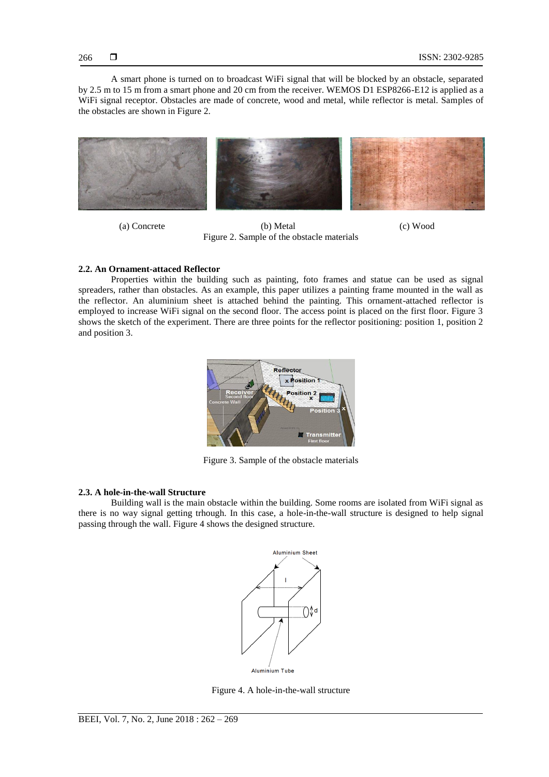A smart phone is turned on to broadcast WiFi signal that will be blocked by an obstacle, separated by 2.5 m to 15 m from a smart phone and 20 cm from the receiver. WEMOS D1 ESP8266-E12 is applied as a WiFi signal receptor. Obstacles are made of concrete, wood and metal, while reflector is metal. Samples of the obstacles are shown in Figure 2.



(a) Concrete (b) Metal (c) Wood Figure 2. Sample of the obstacle materials

# **2.2. An Ornament-attaced Reflector**

Properties within the building such as painting, foto frames and statue can be used as signal spreaders, rather than obstacles. As an example, this paper utilizes a painting frame mounted in the wall as the reflector. An aluminium sheet is attached behind the painting. This ornament-attached reflector is employed to increase WiFi signal on the second floor. The access point is placed on the first floor. Figure 3 shows the sketch of the experiment. There are three points for the reflector positioning: position 1, position 2 and position 3.



Figure 3. Sample of the obstacle materials

# **2.3. A hole-in-the-wall Structure**

Building wall is the main obstacle within the building. Some rooms are isolated from WiFi signal as there is no way signal getting trhough. In this case, a hole-in-the-wall structure is designed to help signal passing through the wall. Figure 4 shows the designed structure.



Aluminium Tube

Figure 4. A hole-in-the-wall structure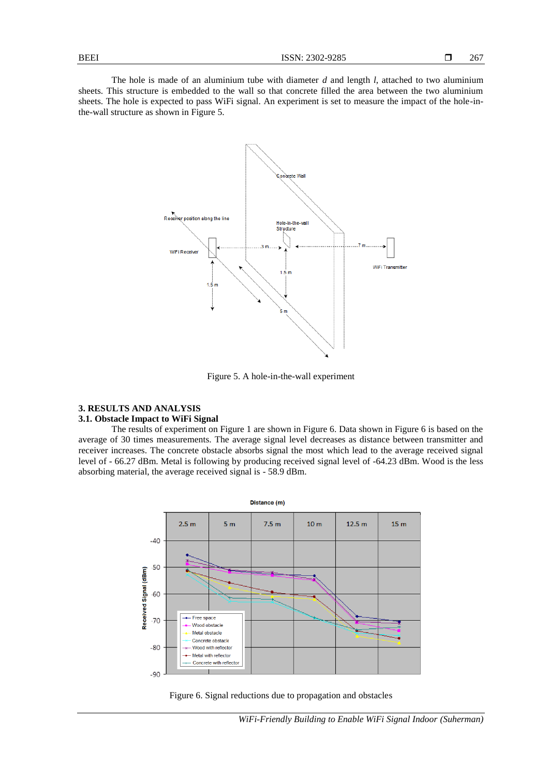The hole is made of an aluminium tube with diameter *d* and length *l*, attached to two aluminium sheets. This structure is embedded to the wall so that concrete filled the area between the two aluminium sheets. The hole is expected to pass WiFi signal. An experiment is set to measure the impact of the hole-inthe-wall structure as shown in Figure 5.



Figure 5. A hole-in-the-wall experiment

# **3. RESULTS AND ANALYSIS**

# **3.1. Obstacle Impact to WiFi Signal**

The results of experiment on Figure 1 are shown in Figure 6. Data shown in Figure 6 is based on the average of 30 times measurements. The average signal level decreases as distance between transmitter and receiver increases. The concrete obstacle absorbs signal the most which lead to the average received signal level of - 66.27 dBm. Metal is following by producing received signal level of -64.23 dBm. Wood is the less absorbing material, the average received signal is - 58.9 dBm.



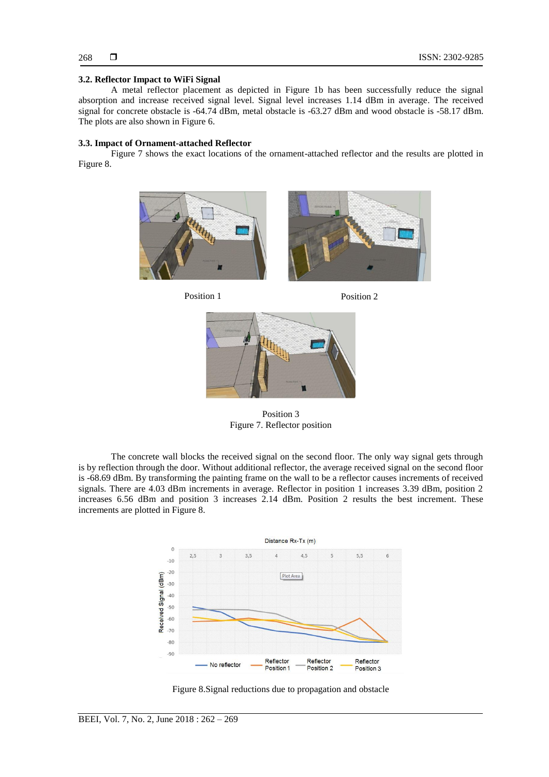# **3.2. Reflector Impact to WiFi Signal**

A metal reflector placement as depicted in Figure 1b has been successfully reduce the signal absorption and increase received signal level. Signal level increases 1.14 dBm in average. The received signal for concrete obstacle is -64.74 dBm, metal obstacle is -63.27 dBm and wood obstacle is -58.17 dBm. The plots are also shown in Figure 6.

# **3.3. Impact of Ornament-attached Reflector**

Figure 7 shows the exact locations of the ornament-attached reflector and the results are plotted in Figure 8.









Position 3 Figure 7. Reflector position

The concrete wall blocks the received signal on the second floor. The only way signal gets through is by reflection through the door. Without additional reflector, the average received signal on the second floor is -68.69 dBm. By transforming the painting frame on the wall to be a reflector causes increments of received signals. There are 4.03 dBm increments in average. Reflector in position 1 increases 3.39 dBm, position 2 increases 6.56 dBm and position 3 increases 2.14 dBm. Position 2 results the best increment. These increments are plotted in Figure 8.



Figure 8.Signal reductions due to propagation and obstacle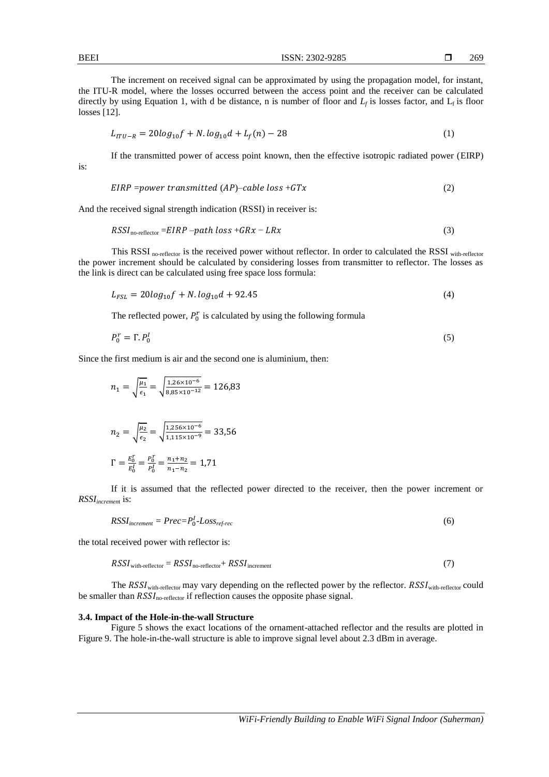| The increment on received signal can be approximated by using the propagation model, for instant,                     |
|-----------------------------------------------------------------------------------------------------------------------|
| the ITU-R model, where the losses occurred between the access point and the receiver can be calculated                |
| directly by using Equation 1, with d be distance, n is number of floor and $L_f$ is losses factor, and $L_f$ is floor |
| losses $[12]$ .                                                                                                       |

$$
L_{ITU-R} = 20log_{10}f + N.log_{10}d + L_f(n) - 28
$$
\n(1)

If the transmitted power of access point known, then the effective isotropic radiated power (EIRP)

$$
EIRP = power transmitted (AP) - cable loss + GTx
$$
 (2)

And the received signal strength indication (RSSI) in receiver is:

$$
RSSIno-reflector = EIRP - path loss + GRx - LRx
$$
\n(3)

This RSSI no-reflector is the received power without reflector. In order to calculated the RSSI with-reflector the power increment should be calculated by considering losses from transmitter to reflector. The losses as the link is direct can be calculated using free space loss formula:

$$
L_{FSL} = 20\log_{10}f + N.\log_{10}d + 92.45\tag{4}
$$

The reflected power,  $P_0^r$  is calculated by using the following formula

$$
P_0^r = \Gamma P_0^I \tag{5}
$$

Since the first medium is air and the second one is aluminium, then:

$$
n_1 = \sqrt{\frac{\mu_1}{\epsilon_1}} = \sqrt{\frac{1.26 \times 10^{-6}}{8.85 \times 10^{-12}}} = 126.83
$$
  

$$
n_2 = \sqrt{\frac{\mu_2}{\epsilon_2}} = \sqrt{\frac{1.256 \times 10^{-6}}{1.115 \times 10^{-9}}} = 33.56
$$

$$
\Gamma = \frac{E_0^r}{E_0^l} = \frac{P_0^r}{P_0^l} = \frac{n_1 + n_2}{n_1 - n_2} = 1.71
$$

If it is assumed that the reflected power directed to the receiver, then the power increment or *RSSIincremen*<sup>t</sup> is:

$$
RSSI_{increment} = Prec = P_0^I - Loss_{ref-rec}
$$
\n
$$
(6)
$$

the total received power with reflector is:

$$
RSSIwith-reflection = RSSIno-reflection + RSSIincrement
$$
 (7)

The RSSI<sub>with-reflector</sub> may vary depending on the reflected power by the reflector. RSSI<sub>with-reflector</sub> could be smaller than  $RSS_{no-reflection}$  if reflection causes the opposite phase signal.

# **3.4. Impact of the Hole-in-the-wall Structure**

Figure 5 shows the exact locations of the ornament-attached reflector and the results are plotted in Figure 9. The hole-in-the-wall structure is able to improve signal level about 2.3 dBm in average.

is: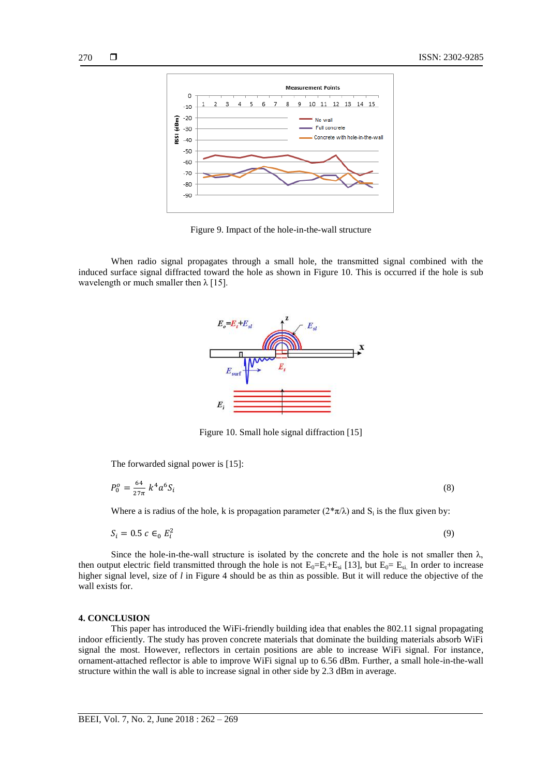

Figure 9. Impact of the hole-in-the-wall structure

When radio signal propagates through a small hole, the transmitted signal combined with the induced surface signal diffracted toward the hole as shown in Figure 10. This is occurred if the hole is sub wavelength or much smaller then  $\lambda$  [15].



Figure 10. Small hole signal diffraction [15]

The forwarded signal power is [15]:

$$
P_0^o = \frac{64}{27\pi} k^4 a^6 S_i \tag{8}
$$

Where a is radius of the hole, k is propagation parameter  $(2*\pi/\lambda)$  and  $S_i$  is the flux given by:

$$
S_i = 0.5 c \in_0 E_i^2 \tag{9}
$$

Since the hole-in-the-wall structure is isolated by the concrete and the hole is not smaller then  $\lambda$ , then output electric field transmitted through the hole is not  $E_0=E_t+E_{si}$  [13], but  $E_0=E_{si}$ . In order to increase higher signal level, size of *l* in Figure 4 should be as thin as possible. But it will reduce the objective of the wall exists for.

#### **4. CONCLUSION**

This paper has introduced the WiFi-friendly building idea that enables the 802.11 signal propagating indoor efficiently. The study has proven concrete materials that dominate the building materials absorb WiFi signal the most. However, reflectors in certain positions are able to increase WiFi signal. For instance, ornament-attached reflector is able to improve WiFi signal up to 6.56 dBm. Further, a small hole-in-the-wall structure within the wall is able to increase signal in other side by 2.3 dBm in average.